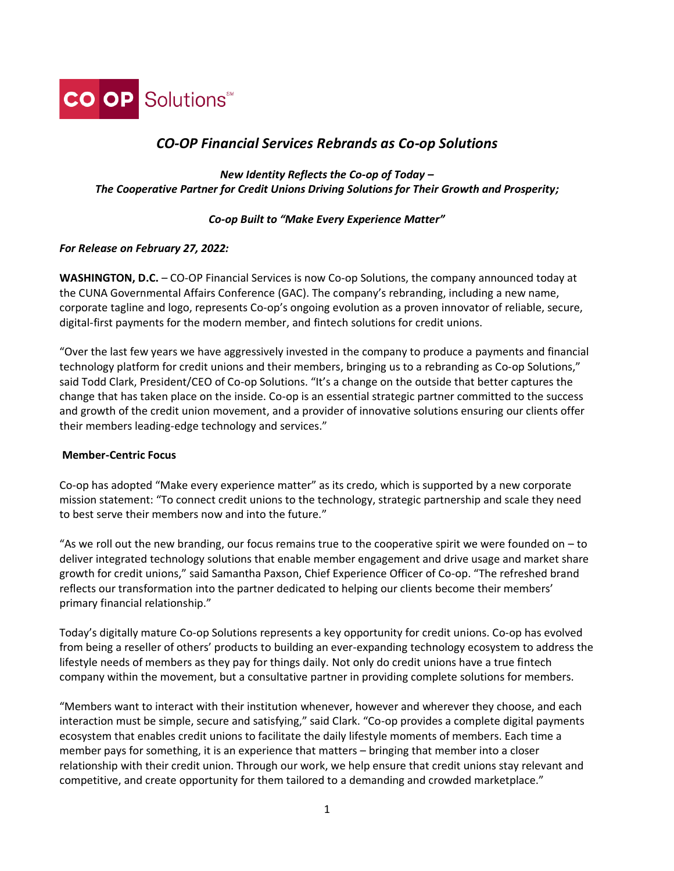

# *CO-OP Financial Services Rebrands as Co-op Solutions*

*New Identity Reflects the Co-op of Today – The Cooperative Partner for Credit Unions Driving Solutions for Their Growth and Prosperity;*

# *Co-op Built to "Make Every Experience Matter"*

# *For Release on February 27, 2022:*

**WASHINGTON, D.C.** – CO-OP Financial Services is now Co-op Solutions, the company announced today at the CUNA Governmental Affairs Conference (GAC). The company's rebranding, including a new name, corporate tagline and logo, represents Co-op's ongoing evolution as a proven innovator of reliable, secure, digital-first payments for the modern member, and fintech solutions for credit unions.

"Over the last few years we have aggressively invested in the company to produce a payments and financial technology platform for credit unions and their members, bringing us to a rebranding as Co-op Solutions," said Todd Clark, President/CEO of Co-op Solutions. "It's a change on the outside that better captures the change that has taken place on the inside. Co-op is an essential strategic partner committed to the success and growth of the credit union movement, and a provider of innovative solutions ensuring our clients offer their members leading-edge technology and services."

# **Member-Centric Focus**

Co-op has adopted "Make every experience matter" as its credo, which is supported by a new corporate mission statement: "To connect credit unions to the technology, strategic partnership and scale they need to best serve their members now and into the future."

"As we roll out the new branding, our focus remains true to the cooperative spirit we were founded on – to deliver integrated technology solutions that enable member engagement and drive usage and market share growth for credit unions," said Samantha Paxson, Chief Experience Officer of Co-op. "The refreshed brand reflects our transformation into the partner dedicated to helping our clients become their members' primary financial relationship."

Today's digitally mature Co-op Solutions represents a key opportunity for credit unions. Co-op has evolved from being a reseller of others' products to building an ever-expanding technology ecosystem to address the lifestyle needs of members as they pay for things daily. Not only do credit unions have a true fintech company within the movement, but a consultative partner in providing complete solutions for members.

"Members want to interact with their institution whenever, however and wherever they choose, and each interaction must be simple, secure and satisfying," said Clark. "Co-op provides a complete digital payments ecosystem that enables credit unions to facilitate the daily lifestyle moments of members. Each time a member pays for something, it is an experience that matters – bringing that member into a closer relationship with their credit union. Through our work, we help ensure that credit unions stay relevant and competitive, and create opportunity for them tailored to a demanding and crowded marketplace."